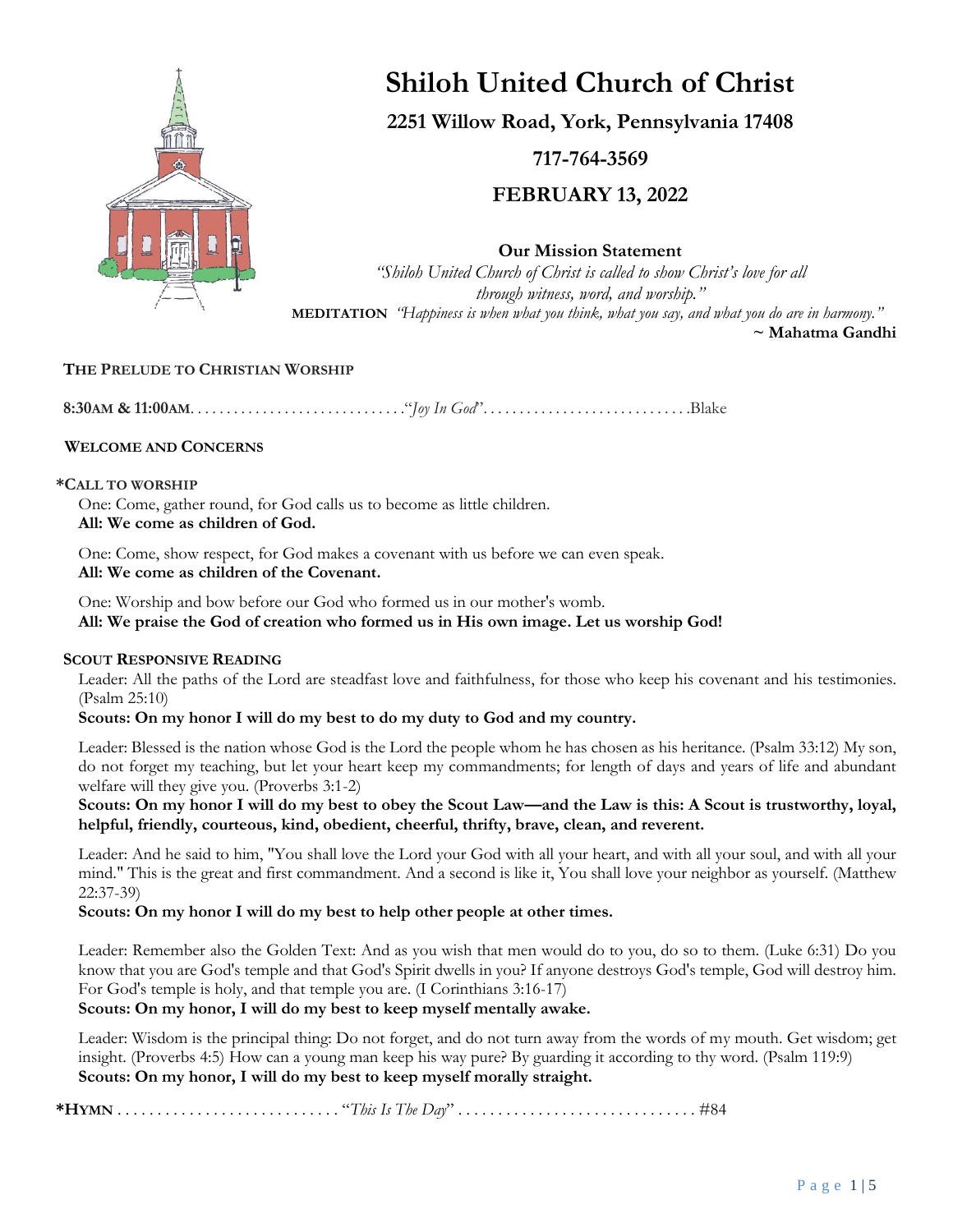

# **Shiloh United Church of Christ**

**2251 Willow Road, York, Pennsylvania 17408**

**717-764-3569**

**FEBRUARY 13, 2022**

**Our Mission Statement**

*"Shiloh United Church of Christ is called to show Christ's love for all through witness, word, and worship."* **MEDITATION** *"Happiness is when what you think, what you say, and what you do are in harmony."*  **~ Mahatma Gandhi**

## **THE PRELUDE TO CHRISTIAN WORSHIP**

**8:30AM & 11:00AM**. . . . . . . . . . . . . . . . . . . . . . . . . . . . . ."*Joy In God*". . . . . . . . . . . . . . . . . . . . . . . . . . . . .Blake

## **WELCOME AND CONCERNS**

#### **\*CALL TO WORSHIP**

One: Come, gather round, for God calls us to become as little children. **All: We come as children of God.**

One: Come, show respect, for God makes a covenant with us before we can even speak. **All: We come as children of the Covenant.**

One: Worship and bow before our God who formed us in our mother's womb. **All: We praise the God of creation who formed us in His own image. Let us worship God!**

## **SCOUT RESPONSIVE READING**

Leader: All the paths of the Lord are steadfast love and faithfulness, for those who keep his covenant and his testimonies. (Psalm 25:10)

## **Scouts: On my honor I will do my best to do my duty to God and my country.**

Leader: Blessed is the nation whose God is the Lord the people whom he has chosen as his heritance. (Psalm 33:12) My son, do not forget my teaching, but let your heart keep my commandments; for length of days and years of life and abundant welfare will they give you. (Proverbs 3:1-2)

**Scouts: On my honor I will do my best to obey the Scout Law—and the Law is this: A Scout is trustworthy, loyal, helpful, friendly, courteous, kind, obedient, cheerful, thrifty, brave, clean, and reverent.** 

Leader: And he said to him, "You shall love the Lord your God with all your heart, and with all your soul, and with all your mind." This is the great and first commandment. And a second is like it, You shall love your neighbor as yourself. (Matthew 22:37-39)

## **Scouts: On my honor I will do my best to help other people at other times.**

Leader: Remember also the Golden Text: And as you wish that men would do to you, do so to them. (Luke 6:31) Do you know that you are God's temple and that God's Spirit dwells in you? If anyone destroys God's temple, God will destroy him. For God's temple is holy, and that temple you are. (I Corinthians 3:16-17)

**Scouts: On my honor, I will do my best to keep myself mentally awake.** 

Leader: Wisdom is the principal thing: Do not forget, and do not turn away from the words of my mouth. Get wisdom; get insight. (Proverbs 4:5) How can a young man keep his way pure? By guarding it according to thy word. (Psalm 119:9) **Scouts: On my honor, I will do my best to keep myself morally straight.**

**\*HYMN** . . . . . . . . . . . . . . . . . . . . . . . . . . . . "*This Is The Day*" . . . . . . . . . . . . . . . . . . . . . . . . . . . . . . #84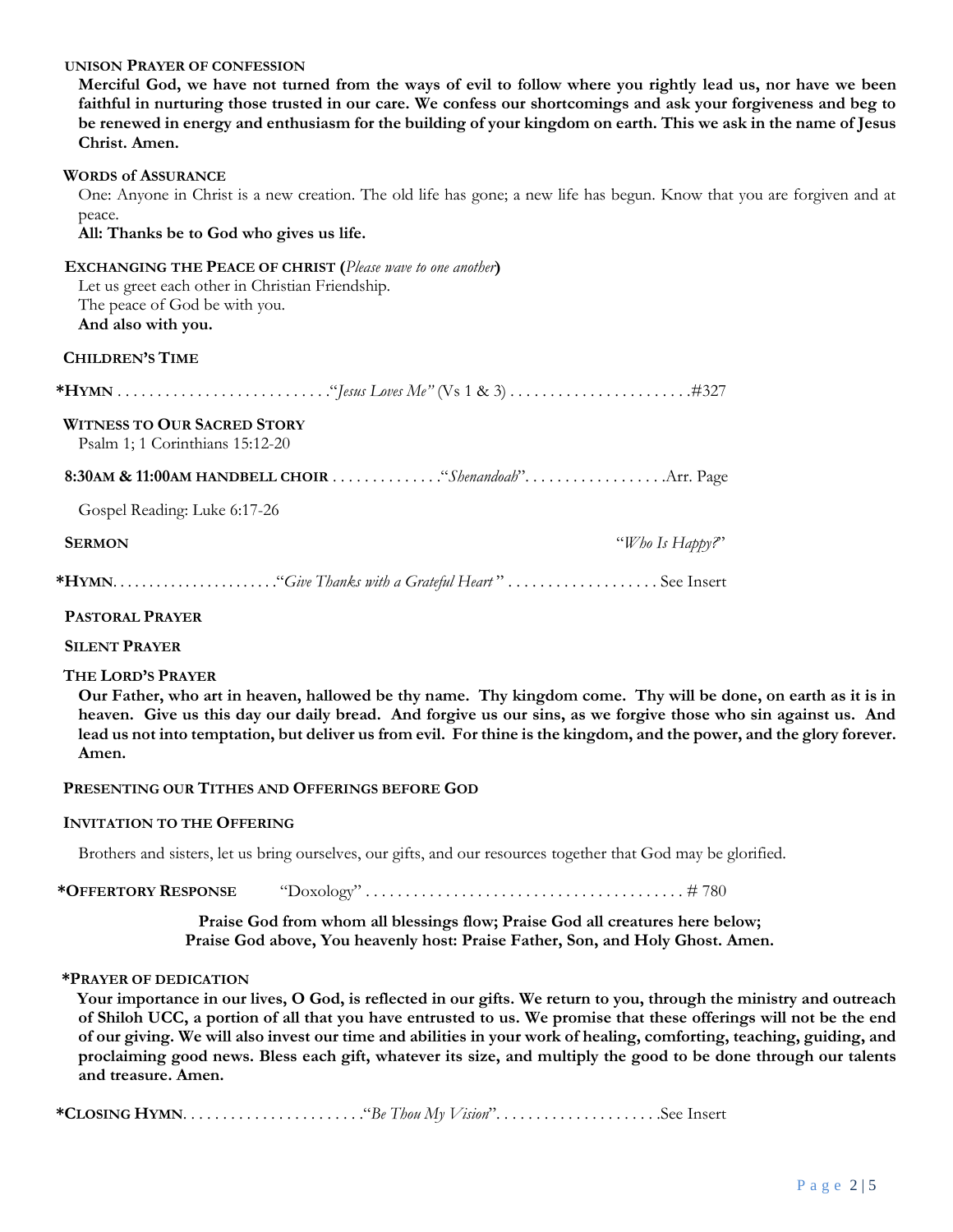#### **UNISON PRAYER OF CONFESSION**

**Merciful God, we have not turned from the ways of evil to follow where you rightly lead us, nor have we been faithful in nurturing those trusted in our care. We confess our shortcomings and ask your forgiveness and beg to be renewed in energy and enthusiasm for the building of your kingdom on earth. This we ask in the name of Jesus Christ. Amen.**

#### **WORDS of ASSURANCE**

One: Anyone in Christ is a new creation. The old life has gone; a new life has begun. Know that you are forgiven and at peace.

**All: Thanks be to God who gives us life.**

| <b>EXCHANGING THE PEACE OF CHRIST (Please wave to one another)</b> |
|--------------------------------------------------------------------|
| Let us greet each other in Christian Friendship.                   |
| The peace of God be with you.                                      |
| And also with you.                                                 |
| CHILDREN'S TIME                                                    |
|                                                                    |
| <b>WITNESS TO OUR SACRED STORY</b>                                 |
| Psalm 1; 1 Corinthians $15:12-20$                                  |
|                                                                    |
|                                                                    |
| Gospel Reading: Luke 6:17-26                                       |
| <b>SERMON</b><br>"Who Is Happy?"                                   |
|                                                                    |

#### **PASTORAL PRAYER**

**SILENT PRAYER**

#### **THE LORD'S PRAYER**

**Our Father, who art in heaven, hallowed be thy name. Thy kingdom come. Thy will be done, on earth as it is in heaven. Give us this day our daily bread. And forgive us our sins, as we forgive those who sin against us. And lead us not into temptation, but deliver us from evil. For thine is the kingdom, and the power, and the glory forever. Amen.**

#### **PRESENTING OUR TITHES AND OFFERINGS BEFORE GOD**

#### **INVITATION TO THE OFFERING**

Brothers and sisters, let us bring ourselves, our gifts, and our resources together that God may be glorified.

**\*OFFERTORY RESPONSE** "Doxology" . . . . . . . . . . . . . . . . . . . . . . . . . . . . . . . . . . . . . . . . # 780

**Praise God from whom all blessings flow; Praise God all creatures here below; Praise God above, You heavenly host: Praise Father, Son, and Holy Ghost. Amen.**

#### **\*PRAYER OF DEDICATION**

**Your importance in our lives, O God, is reflected in our gifts. We return to you, through the ministry and outreach of Shiloh UCC, a portion of all that you have entrusted to us. We promise that these offerings will not be the end of our giving. We will also invest our time and abilities in your work of healing, comforting, teaching, guiding, and proclaiming good news. Bless each gift, whatever its size, and multiply the good to be done through our talents and treasure. Amen.**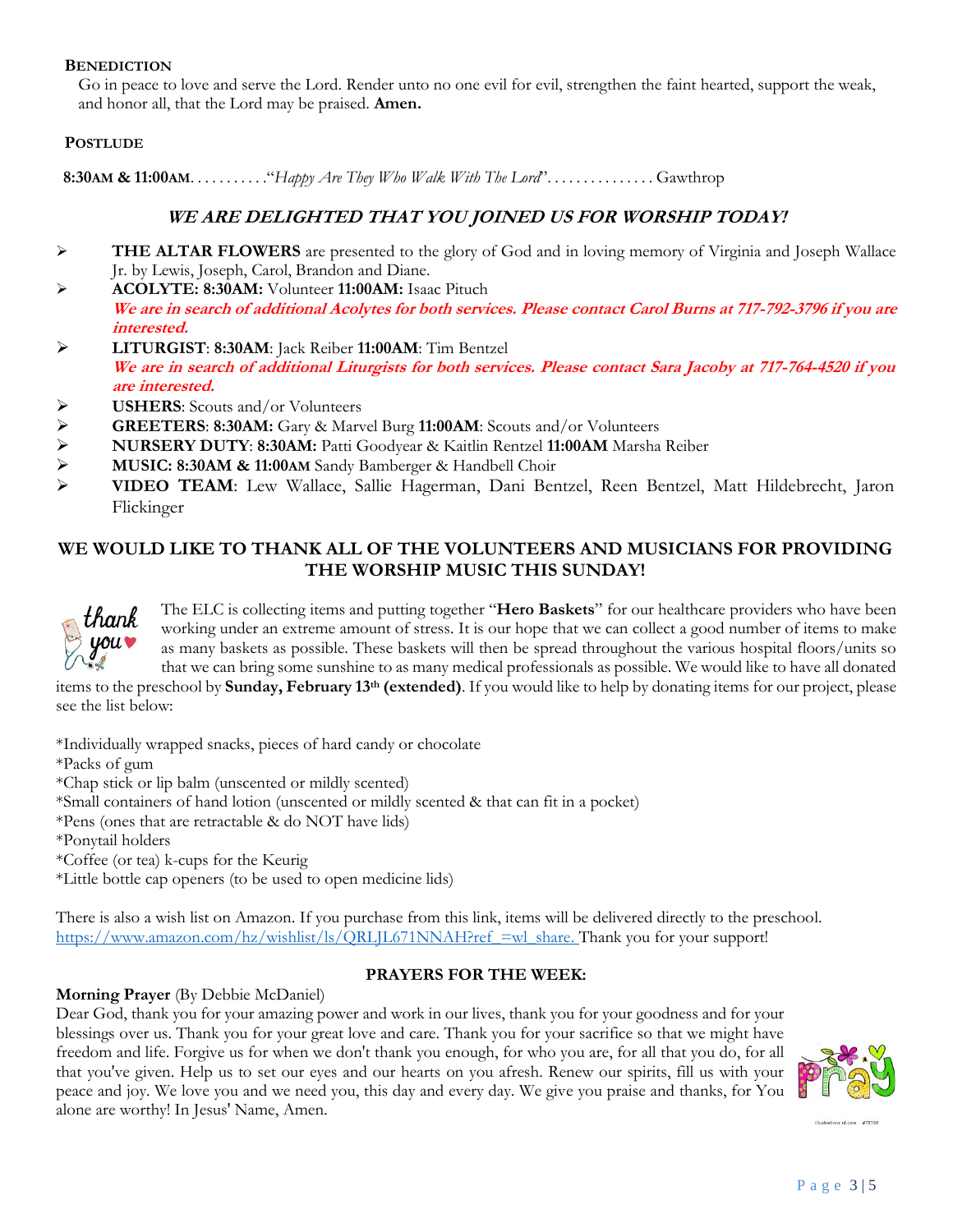#### **BENEDICTION**

Go in peace to love and serve the Lord. Render unto no one evil for evil, strengthen the faint hearted, support the weak, and honor all, that the Lord may be praised. **Amen.**

## **POSTLUDE**

 **8:30AM & 11:00AM**. . . . . . . . . . ."*Happy Are They Who Walk With The Lord*". . . . . . . . . . . . . . . Gawthrop

# **WE ARE DELIGHTED THAT YOU JOINED US FOR WORSHIP TODAY!**

- ➢ **THE ALTAR FLOWERS** are presented to the glory of God and in loving memory of Virginia and Joseph Wallace Jr. by Lewis, Joseph, Carol, Brandon and Diane.
- ➢ **ACOLYTE: 8:30AM:** Volunteer **11:00AM:** Isaac Pituch **We are in search of additional Acolytes for both services. Please contact Carol Burns at 717-792-3796 if you are interested.**
- ➢ **LITURGIST**: **8:30AM**: Jack Reiber **11:00AM**: Tim Bentzel **We are in search of additional Liturgists for both services. Please contact Sara Jacoby at 717-764-4520 if you are interested.**
- ➢ **USHERS**: Scouts and/or Volunteers
- 
- ➢ **GREETERS**: **8:30AM:** Gary & Marvel Burg **11:00AM**: Scouts and/or Volunteers ➢ **NURSERY DUTY**: **8:30AM:** Patti Goodyear & Kaitlin Rentzel **11:00AM** Marsha Reiber
- ➢ **MUSIC: 8:30AM & 11:00AM** Sandy Bamberger & Handbell Choir
- ➢ **VIDEO TEAM**: Lew Wallace, Sallie Hagerman, Dani Bentzel, Reen Bentzel, Matt Hildebrecht, Jaron Flickinger

# **WE WOULD LIKE TO THANK ALL OF THE VOLUNTEERS AND MUSICIANS FOR PROVIDING THE WORSHIP MUSIC THIS SUNDAY!**



The ELC is collecting items and putting together "**Hero Baskets**" for our healthcare providers who have been working under an extreme amount of stress. It is our hope that we can collect a good number of items to make as many baskets as possible. These baskets will then be spread throughout the various hospital floors/units so that we can bring some sunshine to as many medical professionals as possible. We would like to have all donated

items to the preschool by **Sunday, February 13th (extended)**. If you would like to help by donating items for our project, please see the list below:

\*Individually wrapped snacks, pieces of hard candy or chocolate \*Packs of gum \*Chap stick or lip balm (unscented or mildly scented) \*Small containers of hand lotion (unscented or mildly scented & that can fit in a pocket) \*Pens (ones that are retractable & do NOT have lids) \*Ponytail holders \*Coffee (or tea) k-cups for the Keurig \*Little bottle cap openers (to be used to open medicine lids)

There is also a wish list on Amazon. If you purchase from this link, items will be delivered directly to the preschool. [https://www.amazon.com/hz/wishlist/ls/QRLJL671NNAH?ref\\_=wl\\_share.](https://www.amazon.com/hz/wishlist/ls/QRLJL671NNAH?ref_=wl_share) Thank you for your support!

# **PRAYERS FOR THE WEEK:**

## **Morning Prayer** (By Debbie McDaniel)

Dear God, thank you for your amazing power and work in our lives, thank you for your goodness and for your blessings over us. Thank you for your great love and care. Thank you for your sacrifice so that we might have freedom and life. Forgive us for when we don't thank you enough, for who you are, for all that you do, for all that you've given. Help us to set our eyes and our hearts on you afresh. Renew our spirits, fill us with your peace and joy. We love you and we need you, this day and every day. We give you praise and thanks, for You alone are worthy! In Jesus' Name, Amen.

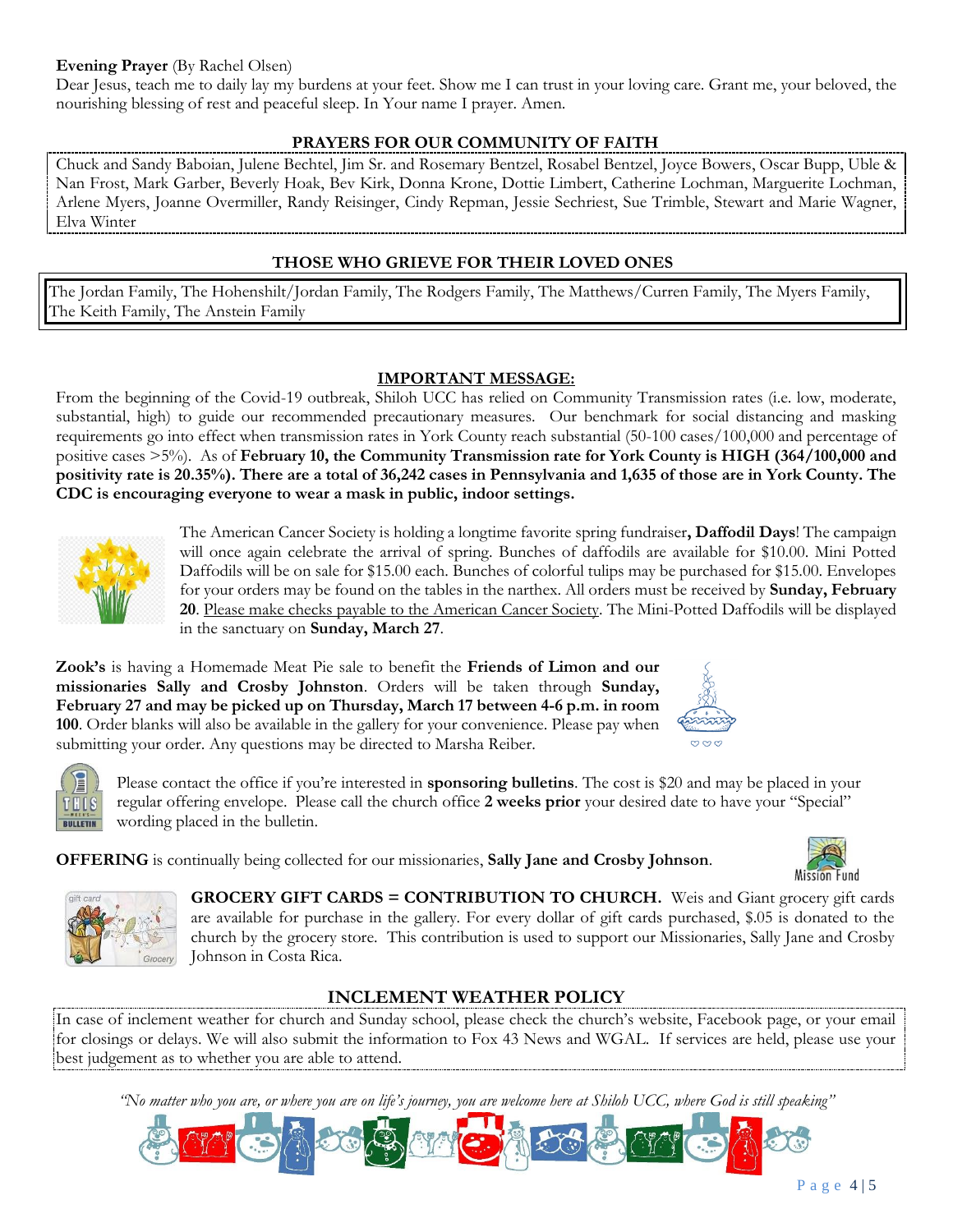## **Evening Prayer** (By Rachel Olsen)

Dear Jesus, teach me to daily lay my burdens at your feet. Show me I can trust in your loving care. Grant me, your beloved, the nourishing blessing of rest and peaceful sleep. In Your name I prayer. Amen.

# **PRAYERS FOR OUR COMMUNITY OF FAITH**

Chuck and Sandy Baboian, Julene Bechtel, Jim Sr. and Rosemary Bentzel, Rosabel Bentzel, Joyce Bowers, Oscar Bupp, Uble & Nan Frost, Mark Garber, Beverly Hoak, Bev Kirk, Donna Krone, Dottie Limbert, Catherine Lochman, Marguerite Lochman, Arlene Myers, Joanne Overmiller, Randy Reisinger, Cindy Repman, Jessie Sechriest, Sue Trimble, Stewart and Marie Wagner, Elva Winter

# **THOSE WHO GRIEVE FOR THEIR LOVED ONES**

The Jordan Family, The Hohenshilt/Jordan Family, The Rodgers Family, The Matthews/Curren Family, The Myers Family, The Keith Family, The Anstein Family

## **IMPORTANT MESSAGE:**

From the beginning of the Covid-19 outbreak, Shiloh UCC has relied on Community Transmission rates (i.e. low, moderate, substantial, high) to guide our recommended precautionary measures. Our benchmark for social distancing and masking requirements go into effect when transmission rates in York County reach substantial (50-100 cases/100,000 and percentage of positive cases >5%). As of **February 10, the Community Transmission rate for York County is HIGH (364/100,000 and positivity rate is 20.35%). There are a total of 36,242 cases in Pennsylvania and 1,635 of those are in York County. The CDC is encouraging everyone to wear a mask in public, indoor settings.**



The American Cancer Society is holding a longtime favorite spring fundraiser**, Daffodil Days**! The campaign will once again celebrate the arrival of spring. Bunches of daffodils are available for \$10.00. Mini Potted Daffodils will be on sale for \$15.00 each. Bunches of colorful tulips may be purchased for \$15.00. Envelopes for your orders may be found on the tables in the narthex. All orders must be received by **Sunday, February 20**. Please make checks payable to the American Cancer Society. The Mini-Potted Daffodils will be displayed in the sanctuary on **Sunday, March 27**.

**Zook's** is having a Homemade Meat Pie sale to benefit the **Friends of Limon and our missionaries Sally and Crosby Johnston**. Orders will be taken through **Sunday, February 27 and may be picked up on Thursday, March 17 between 4-6 p.m. in room 100**. Order blanks will also be available in the gallery for your convenience. Please pay when submitting your order. Any questions may be directed to Marsha Reiber.





Please contact the office if you're interested in **sponsoring bulletins**. The cost is \$20 and may be placed in your regular offering envelope. Please call the church office **2 weeks prior** your desired date to have your "Special" wording placed in the bulletin.

**OFFERING** is continually being collected for our missionaries, **Sally Jane and Crosby Johnson**.



**GROCERY GIFT CARDS = CONTRIBUTION TO CHURCH.** Weis and Giant grocery gift cards are available for purchase in the gallery. For every dollar of gift cards purchased, \$.05 is donated to the church by the grocery store. This contribution is used to support our Missionaries, Sally Jane and Crosby Johnson in Costa Rica.

# **INCLEMENT WEATHER POLICY**

In case of inclement weather for church and Sunday school, please check the church's website, Facebook page, or your email for closings or delays. We will also submit the information to Fox 43 News and WGAL. If services are held, please use your best judgement as to whether you are able to attend.

*"No matter who you are, or where you are on life's journey, you are welcome here at Shiloh UCC, where God is still speaking"*